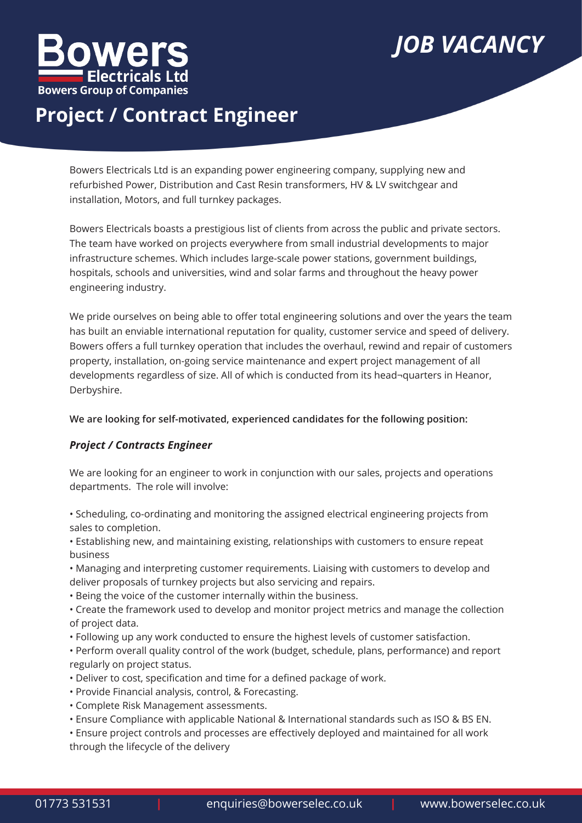

# *JOB VACANCY*

## **Project / Contract Engineer**

Bowers Electricals Ltd is an expanding power engineering company, supplying new and refurbished Power, Distribution and Cast Resin transformers, HV & LV switchgear and installation, Motors, and full turnkey packages.

Bowers Electricals boasts a prestigious list of clients from across the public and private sectors. The team have worked on projects everywhere from small industrial developments to major infrastructure schemes. Which includes large-scale power stations, government buildings, hospitals, schools and universities, wind and solar farms and throughout the heavy power engineering industry.

We pride ourselves on being able to offer total engineering solutions and over the years the team has built an enviable international reputation for quality, customer service and speed of delivery. Bowers offers a full turnkey operation that includes the overhaul, rewind and repair of customers property, installation, on-going service maintenance and expert project management of all developments regardless of size. All of which is conducted from its head¬quarters in Heanor, Derbyshire.

### **We are looking for self-motivated, experienced candidates for the following position:**

## *Project / Contracts Engineer*

We are looking for an engineer to work in conjunction with our sales, projects and operations departments. The role will involve:

• Scheduling, co-ordinating and monitoring the assigned electrical engineering projects from sales to completion.

• Establishing new, and maintaining existing, relationships with customers to ensure repeat business

• Managing and interpreting customer requirements. Liaising with customers to develop and deliver proposals of turnkey projects but also servicing and repairs.

• Being the voice of the customer internally within the business.

• Create the framework used to develop and monitor project metrics and manage the collection of project data.

• Following up any work conducted to ensure the highest levels of customer satisfaction.

• Perform overall quality control of the work (budget, schedule, plans, performance) and report regularly on project status.

- Deliver to cost, specification and time for a defined package of work.
- Provide Financial analysis, control, & Forecasting.
- Complete Risk Management assessments.
- Ensure Compliance with applicable National & International standards such as ISO & BS EN.

• Ensure project controls and processes are effectively deployed and maintained for all work through the lifecycle of the delivery